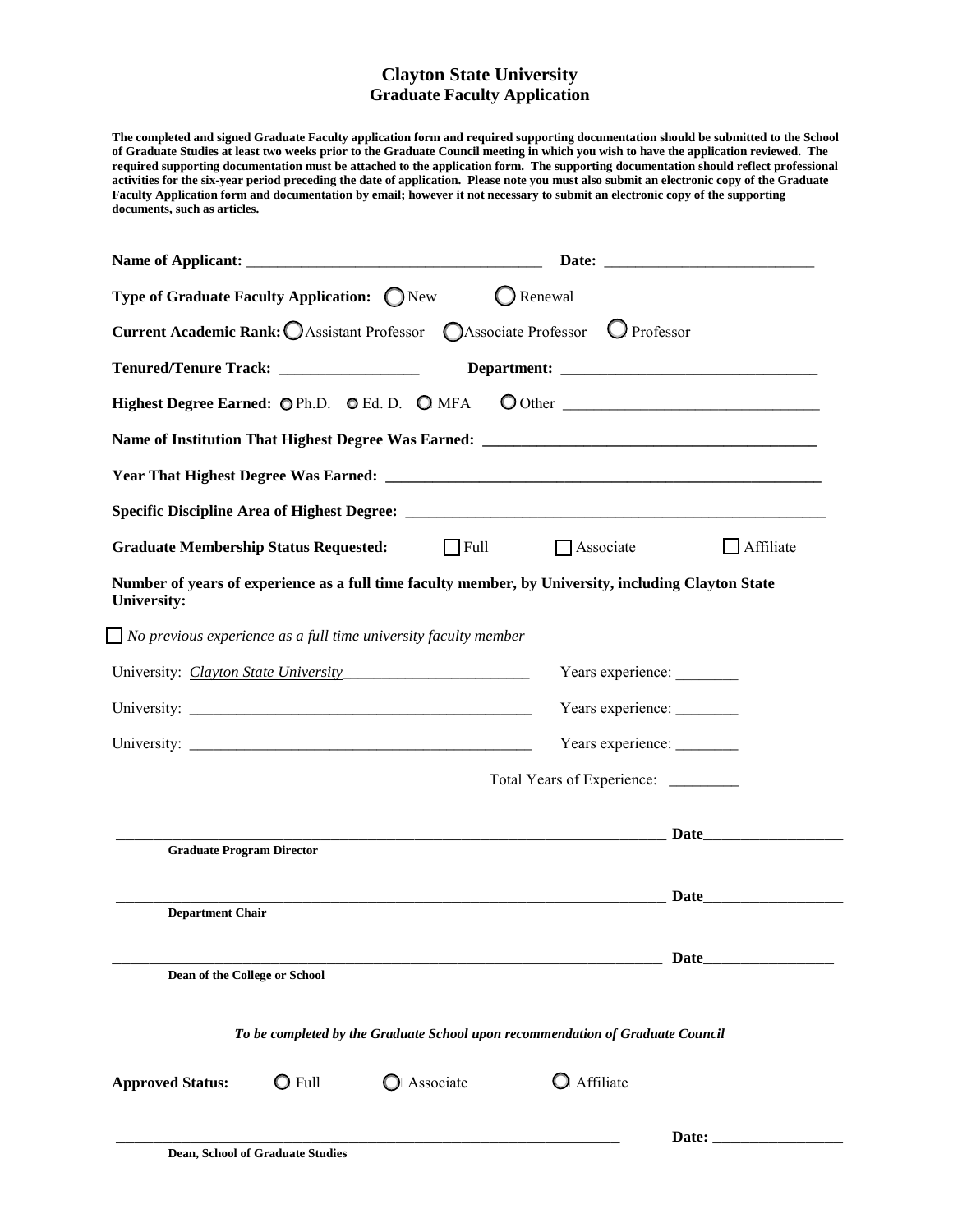## **Clayton State University Graduate Faculty Application**

**The completed and signed Graduate Faculty application form and required supporting documentation should be submitted to the School of Graduate Studies at least two weeks prior to the Graduate Council meeting in which you wish to have the application reviewed. The required supporting documentation must be attached to the application form. The supporting documentation should reflect professional activities for the six-year period preceding the date of application. Please note you must also submit an electronic copy of the Graduate Faculty Application form and documentation by email; however it not necessary to submit an electronic copy of the supporting documents, such as articles.** 

| Type of Graduate Faculty Application: CNew                       |                 |                                                                                                     | $\bigcirc$ Renewal                   |                                                                                                                                                                                                                               |
|------------------------------------------------------------------|-----------------|-----------------------------------------------------------------------------------------------------|--------------------------------------|-------------------------------------------------------------------------------------------------------------------------------------------------------------------------------------------------------------------------------|
|                                                                  |                 | Current Academic Rank: O Assistant Professor C Associate Professor O Professor                      |                                      |                                                                                                                                                                                                                               |
| Tenured/Tenure Track: __________________                         |                 |                                                                                                     |                                      |                                                                                                                                                                                                                               |
| Highest Degree Earned: OPh.D. OEd. D. OMFA                       |                 |                                                                                                     |                                      |                                                                                                                                                                                                                               |
|                                                                  |                 |                                                                                                     |                                      |                                                                                                                                                                                                                               |
|                                                                  |                 |                                                                                                     |                                      |                                                                                                                                                                                                                               |
|                                                                  |                 |                                                                                                     |                                      |                                                                                                                                                                                                                               |
| <b>Graduate Membership Status Requested:</b>                     |                 | $\Box$ Full                                                                                         | $\Box$ Associate                     | Affiliate                                                                                                                                                                                                                     |
| University:                                                      |                 | Number of years of experience as a full time faculty member, by University, including Clayton State |                                      |                                                                                                                                                                                                                               |
|                                                                  |                 | $\Box$ No previous experience as a full time university faculty member                              |                                      |                                                                                                                                                                                                                               |
| University: <i>Clayton State University</i><br>Years experience: |                 |                                                                                                     |                                      |                                                                                                                                                                                                                               |
| Years experience: _______                                        |                 |                                                                                                     |                                      |                                                                                                                                                                                                                               |
|                                                                  |                 |                                                                                                     | Years experience: _______            |                                                                                                                                                                                                                               |
|                                                                  |                 |                                                                                                     | Total Years of Experience: _________ |                                                                                                                                                                                                                               |
| <b>Graduate Program Director</b>                                 |                 |                                                                                                     |                                      |                                                                                                                                                                                                                               |
|                                                                  |                 |                                                                                                     |                                      |                                                                                                                                                                                                                               |
| <b>Department Chair</b>                                          |                 |                                                                                                     |                                      | Date and the set of the set of the set of the set of the set of the set of the set of the set of the set of the set of the set of the set of the set of the set of the set of the set of the set of the set of the set of the |
|                                                                  |                 |                                                                                                     |                                      | Date                                                                                                                                                                                                                          |
| Dean of the College or School                                    |                 |                                                                                                     |                                      |                                                                                                                                                                                                                               |
|                                                                  |                 | To be completed by the Graduate School upon recommendation of Graduate Council                      |                                      |                                                                                                                                                                                                                               |
| <b>Approved Status:</b>                                          | $\bigcirc$ Full | Associate                                                                                           | Affiliate                            |                                                                                                                                                                                                                               |
|                                                                  |                 |                                                                                                     |                                      | Date:                                                                                                                                                                                                                         |